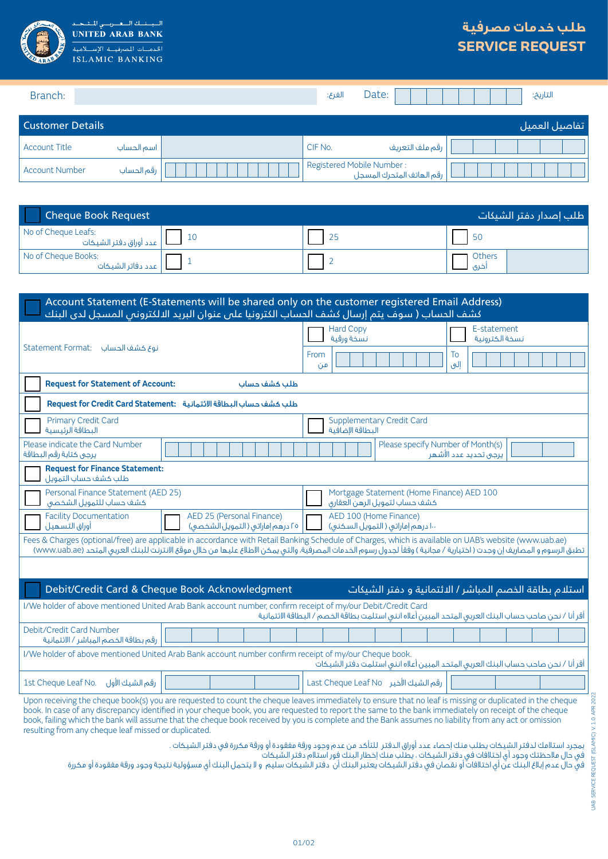

 $\overline{\mathbf{u}}$ د لك <mark>اللغ</mark> بريا  $\Box$ **UNITED ARAB BANK** الخدمسات المصرفيسة الإس **ISLAMIC BANKING** 

## **طلب خدمات مصرفية SERVICE REQUEST**

| Branch:               |            | الفرع:                                                 | Date:           | التاريخ:       |
|-----------------------|------------|--------------------------------------------------------|-----------------|----------------|
| Customer Details      |            |                                                        |                 | اتفاصيل العميل |
| <b>Account Title</b>  | اسم الحساب | CIF No.                                                | رقم ملف التعريف |                |
| <b>Account Number</b> | رقم الحساب | Registered Mobile Number:<br>رقم الهاتف المتحرك المسجل |                 |                |

| <b>Cheque Book Request</b>                    | طلب إصدار دفتر الشيكات |  |                   |
|-----------------------------------------------|------------------------|--|-------------------|
| No of Cheque Leafs:<br>عدد أوراق دفتر الشيكات | <sup>10</sup>          |  | - 50              |
| No of Cheque Books:<br>  عدد دفاتر الشيكات    |                        |  | 1 Others<br>خری ا |

| Account Statement (E-Statements will be shared only on the customer registered Email Address)<br>كشف الحساب ( سوف يتم إرسال كشف الحساب الكترونيا على عنوان البريد الالكترونى المسجل لدى البنك                                                                                                                                    |                                                                                                       |  |  |  |
|----------------------------------------------------------------------------------------------------------------------------------------------------------------------------------------------------------------------------------------------------------------------------------------------------------------------------------|-------------------------------------------------------------------------------------------------------|--|--|--|
| نوع كشف الحساب : Statement Format                                                                                                                                                                                                                                                                                                | <b>Hard Copy</b><br>E-statement<br>نسخة ورقية<br>نسخة الكترونية<br>From<br>To                         |  |  |  |
| <b>Request for Statement of Account:</b><br>طلب كشف حساب                                                                                                                                                                                                                                                                         | إلى<br>من                                                                                             |  |  |  |
| Request for Credit Card Statement: طلب كشف حساب البطاقة الائتمانية                                                                                                                                                                                                                                                               |                                                                                                       |  |  |  |
| <b>Primary Credit Card</b><br>البطاقة الرئيسية                                                                                                                                                                                                                                                                                   | <b>Supplementary Credit Card</b><br>البطاقة الإضافية                                                  |  |  |  |
| Please indicate the Card Number<br>يرجى كتابة رقم البطاقة                                                                                                                                                                                                                                                                        | Please specify Number of Month(s)<br>يرجى تحديد عدد الأشهر                                            |  |  |  |
| <b>Request for Finance Statement:</b><br>طلب كشف حساب التمويل                                                                                                                                                                                                                                                                    |                                                                                                       |  |  |  |
| Personal Finance Statement (AED 25)<br>كشف حساب للتمويل الشخصى                                                                                                                                                                                                                                                                   | Mortgage Statement (Home Finance) AED 100<br>كشف حساب لتمويل الرهن العقارق                            |  |  |  |
| <b>Facility Documentation</b><br>AED 25 (Personal Finance)<br>أوراق التسهيل<br>٢٥ درهم إماراتي ( التمويل الشخصى)                                                                                                                                                                                                                 | AED 100 (Home Finance)<br>۱۰۰ درهم إماراتی ( التمویل السکنی)                                          |  |  |  |
| Fees & Charges (optional/free) are applicable in accordance with Retail Banking Schedule of Charges, which is available on UAB's website (www.uab.ae)<br>تطبق الرسوم و المصاريف إن وجدت ( اختيارية / مجانية ) وفقاً لجدول رسوم الخدمات المصرفية، والتي يمكن الاطلاع عليها من خلال موقع الانترنت للبنك العربي المتحد (www.uab.ae) |                                                                                                       |  |  |  |
|                                                                                                                                                                                                                                                                                                                                  |                                                                                                       |  |  |  |
| Debit/Credit Card & Cheque Book Acknowledgment                                                                                                                                                                                                                                                                                   | استلام بطاقة الخصم المباشر / الائتمانية و دفتر الشيكات                                                |  |  |  |
| I/We holder of above mentioned United Arab Bank account number, confirm receipt of my/our Debit/Credit Card                                                                                                                                                                                                                      | أقر أنا / نحن صاحب حساب البنك العربى المتحد المبين أعلاه اننى استلمت بطاقة الخصم / البطاقة الائتمانية |  |  |  |
| Debit/Credit Card Number<br>رقم بطاقة الخصم المباشر / الائتمانية                                                                                                                                                                                                                                                                 |                                                                                                       |  |  |  |
| I/We holder of above mentioned United Arab Bank account number confirm receipt of my/our Cheque book.                                                                                                                                                                                                                            | أقر أنا / نحن صاحب حساب البنك العربي المتحد المبين أعلاه انني استلمت دفتر الشيكات                     |  |  |  |
| رقم الشيك الأول<br>1st Cheque Leaf No.                                                                                                                                                                                                                                                                                           | رقم الشيك الأخير Last Cheque Leaf No                                                                  |  |  |  |
| Upon receiving the cheque book(s) you are requested to count the cheque leaves immediately to ensure that no leaf is missing or duplicated in the cheque<br>book. In case of any discrepancy identified in your cheque book, you are requested to report the same to the bank immediately on receipt of the cheque               |                                                                                                       |  |  |  |

book, failing which the bank will assume that the cheque book received by you is complete and the Bank assumes no liability from any act or omission resulting from any cheque leaf missed or duplicated.

بمجرد استالمك لدفتر الشيكات يطلب منك إحصاء عدد أوراق الدفتر للتأكد من عدم وجود ورقة مفقودة أو ورقة مكررة في دفتر الشيكات .

في حال مالحظتك وجود أي اختالفات في دفتر الشيكات ، يطلب منك إخطار البنك فور استالم دفتر الشيكات

في حال عدم إبلاغ البنك عن اي اختلافات او نقصان في دفتر الشيكات يكان الشيكات سليم و لا يتحمل البنك اي مسؤولية نتيجة وجود ورقة مفقودة او مكررة